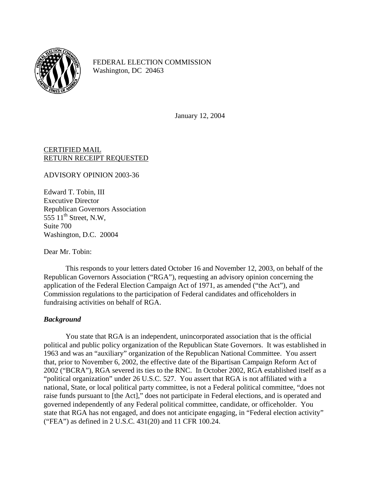

FEDERAL ELECTION COMMISSION Washington, DC 20463

January 12, 2004

## CERTIFIED MAIL RETURN RECEIPT REQUESTED

ADVISORY OPINION 2003-36

Edward T. Tobin, III Executive Director Republican Governors Association 555  $11<sup>th</sup>$  Street, N.W, Suite 700 Washington, D.C. 20004

Dear Mr. Tobin:

This responds to your letters dated October 16 and November 12, 2003, on behalf of the Republican Governors Association ("RGA"), requesting an advisory opinion concerning the application of the Federal Election Campaign Act of 1971, as amended ("the Act"), and Commission regulations to the participation of Federal candidates and officeholders in fundraising activities on behalf of RGA.

## *Background*

You state that RGA is an independent, unincorporated association that is the official political and public policy organization of the Republican State Governors. It was established in 1963 and was an "auxiliary" organization of the Republican National Committee. You assert that, prior to November 6, 2002, the effective date of the Bipartisan Campaign Reform Act of 2002 ("BCRA"), RGA severed its ties to the RNC. In October 2002, RGA established itself as a "political organization" under 26 U.S.C. 527. You assert that RGA is not affiliated with a national, State, or local political party committee, is not a Federal political committee, "does not raise funds pursuant to [the Act]," does not participate in Federal elections, and is operated and governed independently of any Federal political committee, candidate, or officeholder. You state that RGA has not engaged, and does not anticipate engaging, in "Federal election activity" ("FEA") as defined in 2 U.S.C. 431(20) and 11 CFR 100.24.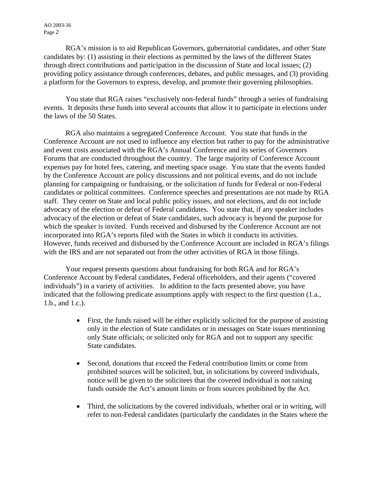AO 2003-36 Page 2

RGA's mission is to aid Republican Governors, gubernatorial candidates, and other State candidates by: (1) assisting in their elections as permitted by the laws of the different States through direct contributions and participation in the discussion of State and local issues; (2) providing policy assistance through conferences, debates, and public messages, and (3) providing a platform for the Governors to express, develop, and promote their governing philosophies.

You state that RGA raises "exclusively non-federal funds" through a series of fundraising events. It deposits these funds into several accounts that allow it to participate in elections under the laws of the 50 States.

RGA also maintains a segregated Conference Account. You state that funds in the Conference Account are not used to influence any election but rather to pay for the administrative and event costs associated with the RGA's Annual Conference and its series of Governors Forums that are conducted throughout the country. The large majority of Conference Account expenses pay for hotel fees, catering, and meeting space usage. You state that the events funded by the Conference Account are policy discussions and not political events, and do not include planning for campaigning or fundraising, or the solicitation of funds for Federal or non-Federal candidates or political committees. Conference speeches and presentations are not made by RGA staff. They center on State and local public policy issues, and not elections, and do not include advocacy of the election or defeat of Federal candidates. You state that, if any speaker includes advocacy of the election or defeat of State candidates, such advocacy is beyond the purpose for which the speaker is invited. Funds received and disbursed by the Conference Account are not incorporated into RGA's reports filed with the States in which it conducts its activities. However, funds received and disbursed by the Conference Account are included in RGA's filings with the IRS and are not separated out from the other activities of RGA in those filings.

Your request presents questions about fundraising for both RGA and for RGA's Conference Account by Federal candidates, Federal officeholders, and their agents ("covered individuals") in a variety of activities. In addition to the facts presented above, you have indicated that the following predicate assumptions apply with respect to the first question (1.a., 1.b., and 1.c.).

- First, the funds raised will be either explicitly solicited for the purpose of assisting only in the election of State candidates or in messages on State issues mentioning only State officials; or solicited only for RGA and not to support any specific State candidates.
- Second, donations that exceed the Federal contribution limits or come from prohibited sources will be solicited, but, in solicitations by covered individuals, notice will be given to the solicitees that the covered individual is not raising funds outside the Act's amount limits or from sources prohibited by the Act.
- Third, the solicitations by the covered individuals, whether oral or in writing, will refer to non-Federal candidates (particularly the candidates in the States where the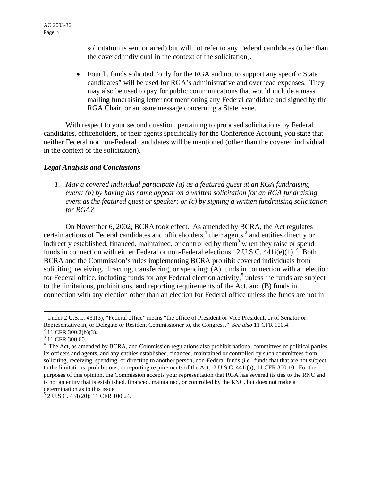solicitation is sent or aired) but will not refer to any Federal candidates (other than the covered individual in the context of the solicitation).

• Fourth, funds solicited "only for the RGA and not to support any specific State candidates" will be used for RGA's administrative and overhead expenses. They may also be used to pay for public communications that would include a mass mailing fundraising letter not mentioning any Federal candidate and signed by the RGA Chair, or an issue message concerning a State issue.

With respect to your second question, pertaining to proposed solicitations by Federal candidates, officeholders, or their agents specifically for the Conference Account, you state that neither Federal nor non-Federal candidates will be mentioned (other than the covered individual in the context of the solicitation).

## *Legal Analysis and Conclusions*

*1. May a covered individual participate (a) as a featured guest at an RGA fundraising event; (b) by having his name appear on a written solicitation for an RGA fundraising event as the featured guest or speaker; or (c) by signing a written fundraising solicitation for RGA?* 

On November 6, 2002, BCRA took effect. As amended by BCRA, the Act regulates certain actions of Federal candidates and officeholders,<sup>1</sup> their agents,<sup>2</sup> and entities directly or indirectly established, financed, maintained, or controlled by them<sup>3</sup> when they raise or spend funds in connection with either Federal or non-Federal elections. 2 U.S.C.  $441i(e)(1)$ .<sup>4</sup> Both BCRA and the Commission's rules implementing BCRA prohibit covered individuals from soliciting, receiving, directing, transferring, or spending: (A) funds in connection with an election for Federal office, including funds for any Federal election activity,<sup>[5](#page-2-4)</sup> unless the funds are subject to the limitations, prohibitions, and reporting requirements of the Act, and (B) funds in connection with any election other than an election for Federal office unless the funds are not in

<span id="page-2-0"></span><sup>&</sup>lt;sup>1</sup> Under 2 U.S.C. 431(3), "Federal office" means "the office of President or Vice President, or of Senator or Representative in, or Delegate or Resident Commissioner to, the Congress." *See also* 11 CFR 100.4. 2  $2$  11 CFR 300.2(b)(3).

<span id="page-2-1"></span>

<span id="page-2-2"></span><sup>&</sup>lt;sup>3</sup> 11 CFR 300.60.

<span id="page-2-3"></span><sup>&</sup>lt;sup>4</sup> The Act, as amended by BCRA, and Commission regulations also prohibit national committees of political parties, its officers and agents, and any entities established, financed, maintained or controlled by such committees from soliciting, receiving, spending, or directing to another person, non-Federal funds (i.e., funds that that are not subject to the limitations, prohibitions, or reporting requirements of the Act. 2 U.S.C. 441i(a); 11 CFR 300.10. For the purposes of this opinion, the Commission accepts your representation that RGA has severed its ties to the RNC and is not an entity that is established, financed, maintained, or controlled by the RNC, but does not make a determination as to this issue.

<span id="page-2-4"></span><sup>5</sup> 2 U.S.C. 431(20); 11 CFR 100.24.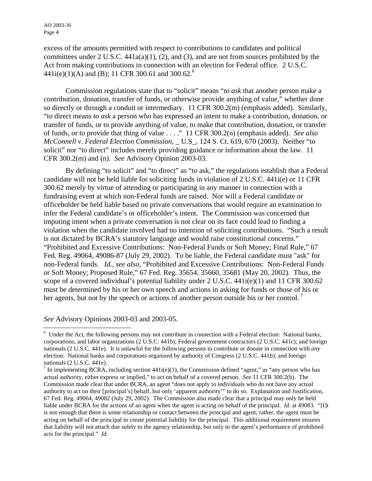excess of the amounts permitted with respect to contributions to candidates and political committees under 2 U.S.C. 441a(a)(1), (2), and (3), and are not from sources prohibited by the Act from making contributions in connection with an election for Federal office. 2 U.S.C.  $441i(e)(1)(A)$  and (B); 11 CFR 300.[6](#page-3-0)1 and 300.62.<sup>6</sup>

Commission regulations state that to "solicit" means "*to ask* that another person make a contribution, donation, transfer of funds, or otherwise provide anything of value," whether done so directly or through a conduit or intermediary. 11 CFR 300.2(m) (emphasis added). Similarly, "to direct means *to ask* a person who has expressed an intent to make a contribution, donation, or transfer of funds, or to provide anything of value, to make that contribution, donation, or transfer of funds, or to provide that thing of value . . . ." 11 CFR 300.2(n) (emphasis added). *See also McConnell v. Federal Election Commission*, \_ U.S\_, 124 S. Ct. 619, 670 (2003). Neither "to solicit" nor "to direct" includes merely providing guidance or information about the law. 11 CFR 300.2(m) and (n). *See* Advisory Opinion 2003-03.

 By defining "to solicit" and "to direct" as "to ask," the regulations establish that a Federal candidate will not be held liable for soliciting funds in violation of 2 U.S.C. 441i(e) or 11 CFR 300.62 merely by virtue of attending or participating in any manner in connection with a fundraising event at which non-Federal funds are raised. Nor will a Federal candidate or officeholder be held liable based on private conversations that would require an examination to infer the Federal candidate's or officeholder's intent. The Commission was concerned that imputing intent when a private conversation is not clear on its face could lead to finding a violation when the candidate involved had no intention of soliciting contributions. "Such a result is not dictated by BCRA's statutory language and would raise constitutional concerns." "Prohibited and Excessive Contributions: Non-Federal Funds or Soft Money; Final Rule," 67 Fed. Reg. 49064, 49086-87 (July 29, 2002). To be liable, the Federal candidate must "ask" for non-Federal funds. *Id., see also,* "Prohibited and Excessive Contributions: Non-Federal Funds or Soft Money; Proposed Rule," 67 Fed. Reg. 35654, 35660, 35681 (May 20, 2002). Thus, the scope of a covered individual's potential liability under  $2 \text{ U.S.C. } 441i(e)(1)$  and  $11 \text{ CFR } 300.62$ must be determined by his or her own speech and actions in asking for funds or those of his or her agents, but not by the speech or actions of another person outside his or her control.<sup>7</sup>

*See* Advisory Opinions 2003-03 and 2003-05.

 $\overline{a}$ 

<span id="page-3-0"></span><sup>&</sup>lt;sup>6</sup> Under the Act, the following persons may not contribute in connection with a Federal election: National banks, corporations, and labor organizations (2 U.S.C. 441b); Federal government contractors (2 U.S.C. 441c); and foreign nationals (2 U.S.C. 441e). It is unlawful for the following persons to contribute or donate in connection with *any* election: National banks and corporations organized by authority of Congress (2 U.S.C. 441b); and foreign nationals (2 U.S.C. 441e).

<span id="page-3-1"></span><sup>&</sup>lt;sup>7</sup> In implementing BCRA, including section  $441i(e)(1)$ , the Commission defined "agent," as "any person who has actual authority, either express or implied," to act on behalf of a covered person. *See* 11 CFR 300.2(b). The Commission made clear that under BCRA, an agent "does not apply to individuals who do not have any actual authority to act on their [principal's] behalf, but only 'apparent authority'" to do so. Explanation and Justification, 67 Fed. Reg. 49064, 49082 (July 29, 2002). The Commission also made clear that a principal may only be held liable under BCRA for the actions of an agent when the agent is acting on behalf of the principal. *Id.* at 49083. "[I]t is not enough that there is some relationship or contact between the principal and agent; rather, the agent must be acting on behalf of the principal to create potential liability for the principal. This additional requirement ensures that liability will not attach due solely to the agency relationship, but only to the agent's performance of prohibited acts for the principal." *Id.*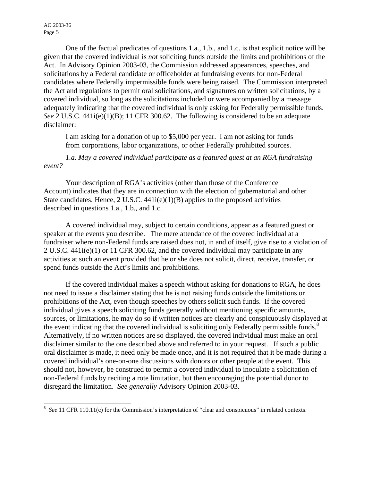One of the factual predicates of questions 1.a., 1.b., and 1.c. is that explicit notice will be given that the covered individual is *not* soliciting funds outside the limits and prohibitions of the Act. In Advisory Opinion 2003-03, the Commission addressed appearances, speeches, and solicitations by a Federal candidate or officeholder at fundraising events for non-Federal candidates where Federally impermissible funds were being raised. The Commission interpreted the Act and regulations to permit oral solicitations, and signatures on written solicitations, by a covered individual, so long as the solicitations included or were accompanied by a message adequately indicating that the covered individual is only asking for Federally permissible funds. *See* 2 U.S.C. 441i(e)(1)(B); 11 CFR 300.62. The following is considered to be an adequate disclaimer:

I am asking for a donation of up to \$5,000 per year. I am not asking for funds from corporations, labor organizations, or other Federally prohibited sources.

## *1.a. May a covered individual participate as a featured guest at an RGA fundraising event?*

Your description of RGA's activities (other than those of the Conference Account) indicates that they are in connection with the election of gubernatorial and other State candidates. Hence, 2 U.S.C. 441i(e)(1)(B) applies to the proposed activities described in questions 1.a., 1.b., and 1.c.

A covered individual may, subject to certain conditions, appear as a featured guest or speaker at the events you describe. The mere attendance of the covered individual at a fundraiser where non-Federal funds are raised does not, in and of itself, give rise to a violation of 2 U.S.C. 441i(e)(1) or 11 CFR 300.62, and the covered individual may participate in any activities at such an event provided that he or she does not solicit, direct, receive, transfer, or spend funds outside the Act's limits and prohibitions.

If the covered individual makes a speech without asking for donations to RGA, he does not need to issue a disclaimer stating that he is not raising funds outside the limitations or prohibitions of the Act, even though speeches by others solicit such funds. If the covered individual gives a speech soliciting funds generally without mentioning specific amounts, sources, or limitations, he may do so if written notices are clearly and conspicuously displayed at the event indicating that the covered individual is soliciting only Federally permissible funds. $8$ Alternatively, if no written notices are so displayed, the covered individual must make an oral disclaimer similar to the one described above and referred to in your request. If such a public oral disclaimer is made, it need only be made once, and it is not required that it be made during a covered individual's one-on-one discussions with donors or other people at the event. This should not, however, be construed to permit a covered individual to inoculate a solicitation of non-Federal funds by reciting a rote limitation, but then encouraging the potential donor to disregard the limitation. *See generally* Advisory Opinion 2003-03.

<span id="page-4-0"></span><sup>&</sup>lt;sup>8</sup> See 11 CFR 110.11(c) for the Commission's interpretation of "clear and conspicuous" in related contexts.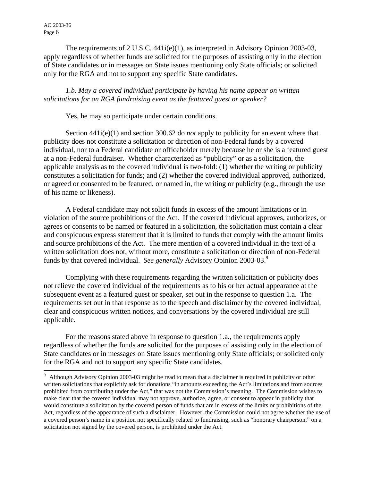AO 2003-36 Page 6

 $\overline{a}$ 

 The requirements of 2 U.S.C. 441i(e)(1), as interpreted in Advisory Opinion 2003-03, apply regardless of whether funds are solicited for the purposes of assisting only in the election of State candidates or in messages on State issues mentioning only State officials; or solicited only for the RGA and not to support any specific State candidates.

*1.b. May a covered individual participate by having his name appear on written solicitations for an RGA fundraising event as the featured guest or speaker?* 

Yes, he may so participate under certain conditions.

Section 441i(e)(1) and section 300.62 do *not* apply to publicity for an event where that publicity does not constitute a solicitation or direction of non-Federal funds by a covered individual, nor to a Federal candidate or officeholder merely because he or she is a featured guest at a non-Federal fundraiser. Whether characterized as "publicity" or as a solicitation, the applicable analysis as to the covered individual is two-fold: (1) whether the writing or publicity constitutes a solicitation for funds; and (2) whether the covered individual approved, authorized, or agreed or consented to be featured, or named in, the writing or publicity (e.g., through the use of his name or likeness).

A Federal candidate may not solicit funds in excess of the amount limitations or in violation of the source prohibitions of the Act. If the covered individual approves, authorizes, or agrees or consents to be named or featured in a solicitation, the solicitation must contain a clear and conspicuous express statement that it is limited to funds that comply with the amount limits and source prohibitions of the Act. The mere mention of a covered individual in the text of a written solicitation does not, without more, constitute a solicitation or direction of non-Federal funds by that covered individual. *See generally* Advisory Opinion 2003-03.[9](#page-5-0)

Complying with these requirements regarding the written solicitation or publicity does not relieve the covered individual of the requirements as to his or her actual appearance at the subsequent event as a featured guest or speaker, set out in the response to question 1.a. The requirements set out in that response as to the speech and disclaimer by the covered individual, clear and conspicuous written notices, and conversations by the covered individual are still applicable.

For the reasons stated above in response to question 1.a., the requirements apply regardless of whether the funds are solicited for the purposes of assisting only in the election of State candidates or in messages on State issues mentioning only State officials; or solicited only for the RGA and not to support any specific State candidates.

<span id="page-5-0"></span><sup>&</sup>lt;sup>9</sup> Although Advisory Opinion 2003-03 might be read to mean that a disclaimer is required in publicity or other written solicitations that explicitly ask for donations "in amounts exceeding the Act's limitations and from sources prohibited from contributing under the Act," that was not the Commission's meaning. The Commission wishes to make clear that the covered individual may not approve, authorize, agree, or consent to appear in publicity that would constitute a solicitation by the covered person of funds that are in excess of the limits or prohibitions of the Act, regardless of the appearance of such a disclaimer. However, the Commission could not agree whether the use of a covered person's name in a position not specifically related to fundraising, such as "honorary chairperson," on a solicitation not signed by the covered person, is prohibited under the Act.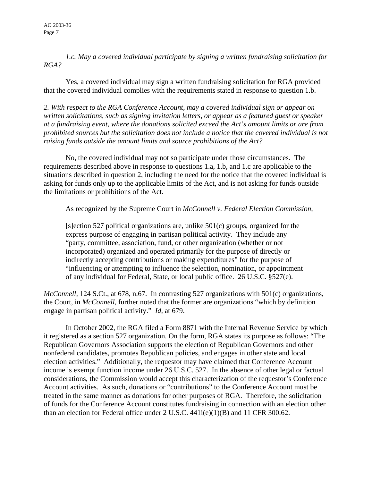*1.c. May a covered individual participate by signing a written fundraising solicitation for RGA?* 

Yes, a covered individual may sign a written fundraising solicitation for RGA provided that the covered individual complies with the requirements stated in response to question 1.b.

*2. With respect to the RGA Conference Account, may a covered individual sign or appear on written solicitations, such as signing invitation letters, or appear as a featured guest or speaker at a fundraising event, where the donations solicited exceed the Act's amount limits or are from prohibited sources but the solicitation does not include a notice that the covered individual is not raising funds outside the amount limits and source prohibitions of the Act?* 

No, the covered individual may not so participate under those circumstances. The requirements described above in response to questions 1.a, 1.b, and 1.c are applicable to the situations described in question 2, including the need for the notice that the covered individual is asking for funds only up to the applicable limits of the Act, and is not asking for funds outside the limitations or prohibitions of the Act.

As recognized by the Supreme Court in *McConnell v. Federal Election Commission,*

[s]ection 527 political organizations are, unlike 501(c) groups, organized for the express purpose of engaging in partisan political activity. They include any "party, committee, association, fund, or other organization (whether or not incorporated) organized and operated primarily for the purpose of directly or indirectly accepting contributions or making expenditures" for the purpose of "influencing or attempting to influence the selection, nomination, or appointment of any individual for Federal, State, or local public office. 26 U.S.C. §527(e).

*McConnell,* 124 S.Ct., at 678, n.67. In contrasting 527 organizations with 501(c) organizations, the Court, in *McConnell*, further noted that the former are organizations "which by definition engage in partisan political activity." *Id,* at 679.

 In October 2002, the RGA filed a Form 8871 with the Internal Revenue Service by which it registered as a section 527 organization. On the form, RGA states its purpose as follows: "The Republican Governors Association supports the election of Republican Governors and other nonfederal candidates, promotes Republican policies, and engages in other state and local election activities." Additionally, the requestor may have claimed that Conference Account income is exempt function income under 26 U.S.C. 527. In the absence of other legal or factual considerations, the Commission would accept this characterization of the requestor's Conference Account activities. As such, donations or "contributions" to the Conference Account must be treated in the same manner as donations for other purposes of RGA. Therefore, the solicitation of funds for the Conference Account constitutes fundraising in connection with an election other than an election for Federal office under 2 U.S.C.  $441i(e)(1)(B)$  and 11 CFR 300.62.